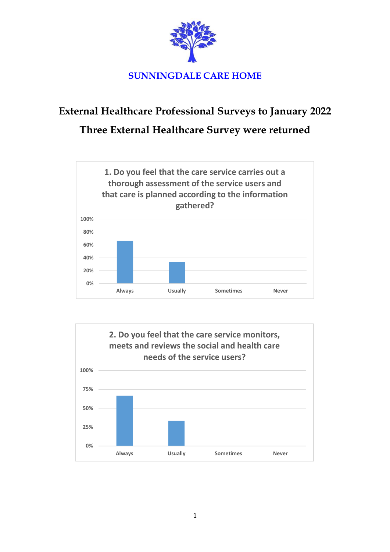

## **External Healthcare Professional Surveys to January 2022 Three External Healthcare Survey were returned**



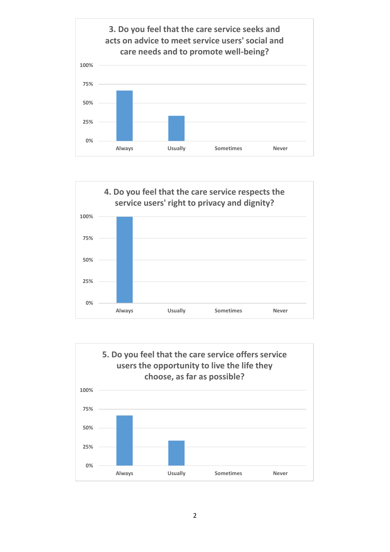



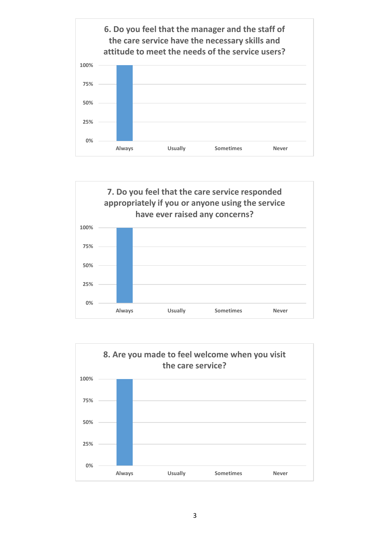